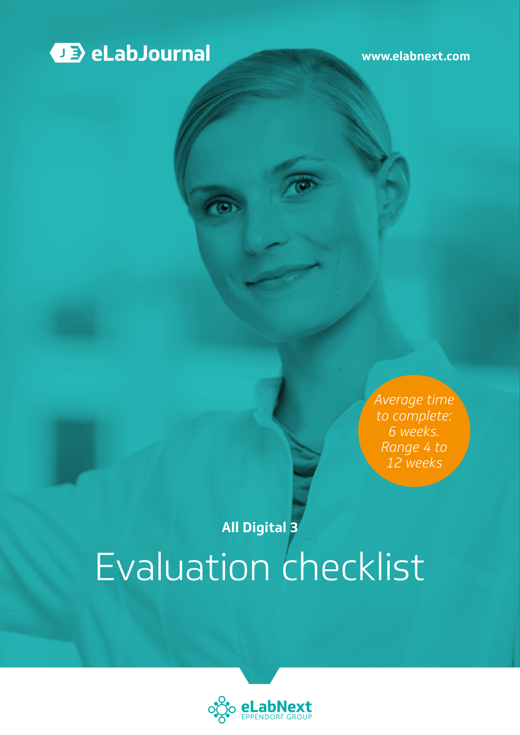

**[www.elabnext.com](http://www.elabnext.com)**

*Average time to complete: 6 weeks. Range 4 to 12 weeks*

# Evaluation checklist **All Digital 3**

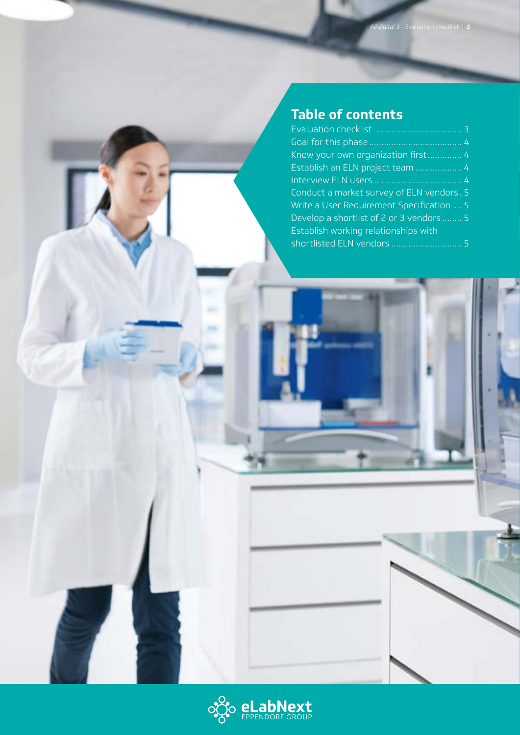## **Table of contents**

| Know your own organization first 4        |  |
|-------------------------------------------|--|
| Establish an ELN project team  4          |  |
|                                           |  |
| Conduct a market survey of ELN vendors. 5 |  |
| Write a User Requirement Specification  5 |  |
| Develop a shortlist of 2 or 3 vendors  5  |  |
| Establish working relationships with      |  |
|                                           |  |

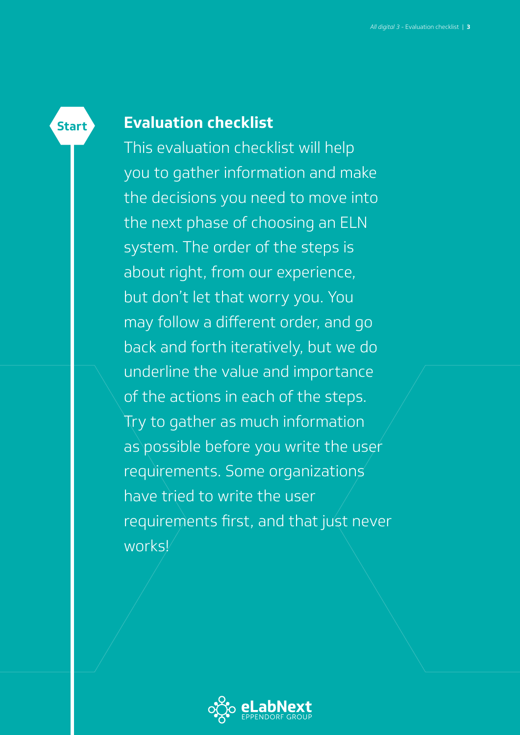## **Evaluation checklist**

<span id="page-2-0"></span>**Start**

This evaluation checklist will help you to gather information and make the decisions you need to move into the next phase of choosing an ELN system. The order of the steps is about right, from our experience, but don't let that worry you. You may follow a different order, and go back and forth iteratively, but we do underline the value and importance of the actions in each of the steps. Try to gather as much information as possible before you write the user requirements. Some organizations have tried to write the user requirements first, and that just never works!

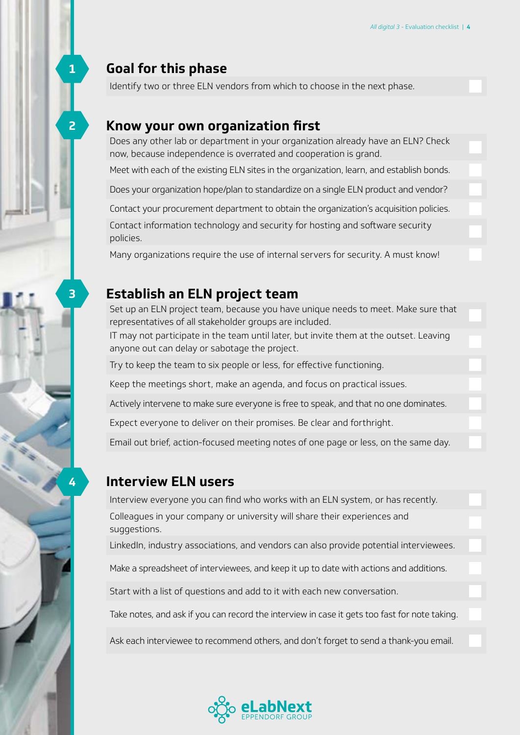## <span id="page-3-0"></span>**Goal for this phase**

Identify two or three ELN vendors from which to choose in the next phase.

#### **Know your own organization first**

Does any other lab or department in your organization already have an ELN? Check now, because independence is overrated and cooperation is grand.

Meet with each of the existing ELN sites in the organization, learn, and establish bonds.

Does your organization hope/plan to standardize on a single ELN product and vendor?

Contact your procurement department to obtain the organization's acquisition policies.

Contact information technology and security for hosting and software security policies.

Many organizations require the use of internal servers for security. A must know!

#### **Establish an ELN project team**

Set up an ELN project team, because you have unique needs to meet. Make sure that representatives of all stakeholder groups are included.

IT may not participate in the team until later, but invite them at the outset. Leaving anyone out can delay or sabotage the project.

Try to keep the team to six people or less, for effective functioning.

Keep the meetings short, make an agenda, and focus on practical issues.

Actively intervene to make sure everyone is free to speak, and that no one dominates.

Expect everyone to deliver on their promises. Be clear and forthright.

Email out brief, action-focused meeting notes of one page or less, on the same day.

#### **Interview ELN users**

Interview everyone you can find who works with an ELN system, or has recently. Colleagues in your company or university will share their experiences and suggestions.

LinkedIn, industry associations, and vendors can also provide potential interviewees.

Make a spreadsheet of interviewees, and keep it up to date with actions and additions.

Start with a list of questions and add to it with each new conversation.

Take notes, and ask if you can record the interview in case it gets too fast for note taking.

Ask each interviewee to recommend others, and don't forget to send a thank-you email.



**2**

**3**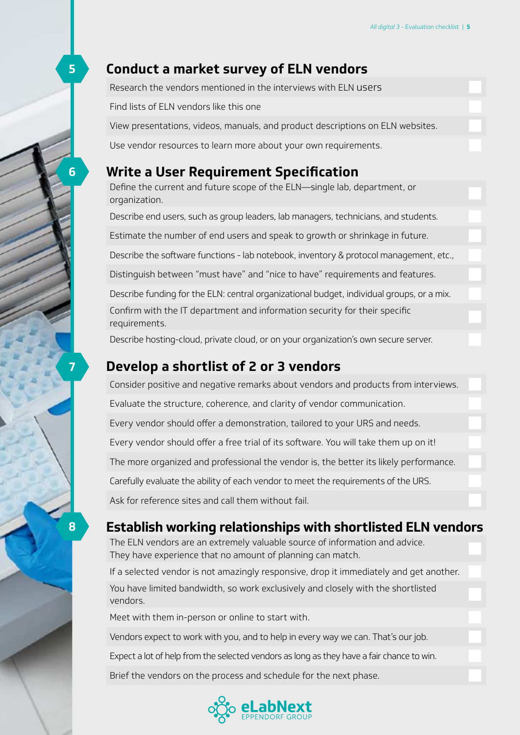#### <span id="page-4-0"></span>**Conduct a market survey of ELN vendors**

| <b>Write a User Requirement Specification</b>                                  |  |
|--------------------------------------------------------------------------------|--|
| Use vendor resources to learn more about your own requirements.                |  |
| View presentations, videos, manuals, and product descriptions on ELN websites. |  |
| Find lists of ELN vendors like this one                                        |  |
| Research the vendors mentioned in the interviews with ELN users                |  |

Define the current and future scope of the ELN—single lab, department, or organization.

Describe end users, such as group leaders, lab managers, technicians, and students. Estimate the number of end users and speak to growth or shrinkage in future. Describe the software functions - lab notebook, inventory & protocol management, etc., Distinguish between "must have" and "nice to have" requirements and features. Describe funding for the ELN: central organizational budget, individual groups, or a mix. Confirm with the IT department and information security for their specific requirements.

Describe hosting-cloud, private cloud, or on your organization's own secure server.

## **Develop a shortlist of 2 or 3 vendors**

Consider positive and negative remarks about vendors and products from interviews. Evaluate the structure, coherence, and clarity of vendor communication. Every vendor should offer a demonstration, tailored to your URS and needs. Every vendor should offer a free trial of its software. You will take them up on it! The more organized and professional the vendor is, the better its likely performance. Carefully evaluate the ability of each vendor to meet the requirements of the URS. Ask for reference sites and call them without fail.

## **Establish working relationships with shortlisted ELN vendors**

The ELN vendors are an extremely valuable source of information and advice. They have experience that no amount of planning can match.

If a selected vendor is not amazingly responsive, drop it immediately and get another. You have limited bandwidth, so work exclusively and closely with the shortlisted vendors.

Meet with them in-person or online to start with.

Vendors expect to work with you, and to help in every way we can. That's our job.

Expect a lot of help from the selected vendors as long as they have a fair chance to win.

Brief the vendors on the process and schedule for the next phase.



**6**

**7**

**8**